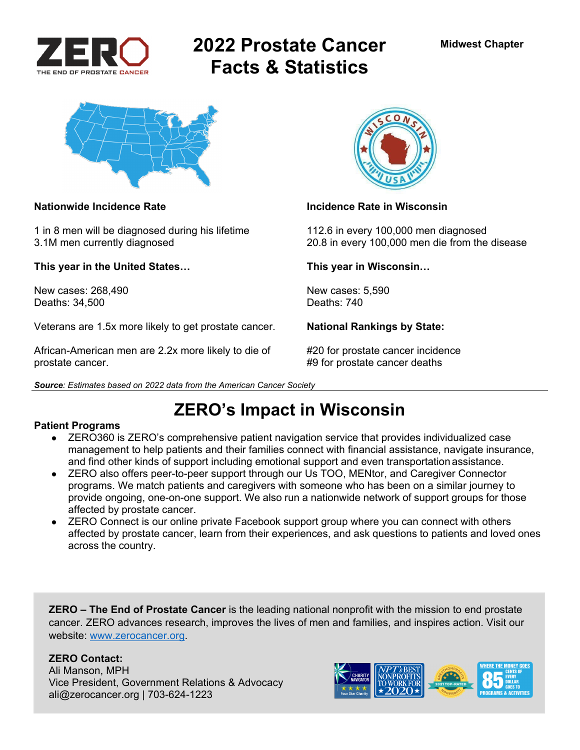

# **2022 Prostate Cancer Facts & Statistics**



1 in 8 men will be diagnosed during his lifetime 112.6 in every 100,000 men diagnosed

**This year in the United States… This year in Wisconsin…** 

New cases: 268,490 New cases: 5,590<br>Deaths: 34.500 Deaths: 740 Deaths: 34,500

Veterans are 1.5x more likely to get prostate cancer. **National Rankings by State:** 

African-American men are 2.2x more likely to die of #20 for prostate cancer incidence prostate cancer. **All in the set of the set of the set of the set of the set of the set of the set of the set o** 

*Source: Estimates based on 2022 data from the American Cancer Society* 



### **Nationwide Incidence Rate Incidence Rate in Wisconsin**

3.1M men currently diagnosed 20.8 in every 100,000 men die from the disease

**ZERO's Impact in Wisconsin** 

### **Patient Programs**

- ZERO360 is ZERO's comprehensive patient navigation service that provides individualized case management to help patients and their families connect with financial assistance, navigate insurance, and find other kinds of support including emotional support and even transportation assistance.
- ZERO also offers peer-to-peer support through our Us TOO, MENtor, and Caregiver Connector programs. We match patients and caregivers with someone who has been on a similar journey to provide ongoing, one-on-one support. We also run a nationwide network of support groups for those affected by prostate cancer.
- ZERO Connect is our online private Facebook support group where you can connect with others affected by prostate cancer, learn from their experiences, and ask questions to patients and loved ones across the country.

**ZERO – The End of Prostate Cancer** is the leading national nonprofit with the mission to end prostate cancer. ZERO advances research, improves the lives of men and families, and inspires action. Visit our website: www.zerocancer.org.

### **ZERO Contact:**

Ali Manson, MPH Vice President, Government Relations & Advocacy ali@zerocancer.org | 703-624-1223